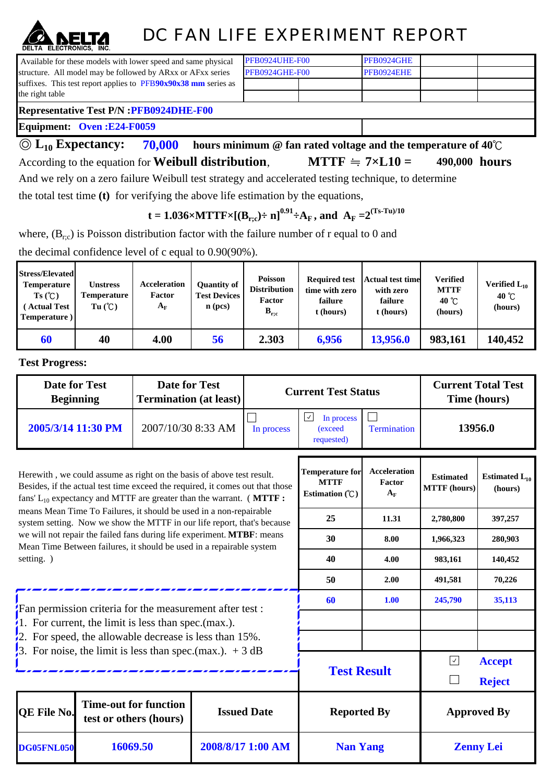## DC FAN LIFE EXPERIMENT REPORT

PFB0924GHE PFB0924EHE

 Available for these models with lower speed and same physical structure. All model may be followed by ARxx or AFxx series suffixes. This test report applies to PFB**90x90x38 mm** series as the right table

| PFB0924GHE-F00 |  |  |  |  |  |  |
|----------------|--|--|--|--|--|--|
| PFB0924UHE-F00 |  |  |  |  |  |  |

## **Representative Test P/N :PFB0924DHE-F00**

**Equipment: Oven :E24-F0059**

**70,000 hours minimum @ fan rated voltage and the temperature of 40**℃ According to the equation for **Weibull distribution**, **MTTF**  $\cong$  **7**×**L10** = 490,000 **hours** ◎ **L10 Expectancy: MTTF**  $\div$  7×**L10** =

And we rely on a zero failure Weibull test strategy and accelerated testing technique, to determine

the total test time **(t)** for verifying the above life estimation by the equations,

 $t = 1.036 \times \text{MTTF} \times \left[ (\mathbf{B}_{r;c}) \div \mathbf{n} \right]^{0.91} \div \mathbf{A}_{\mathrm{F}}$ , and  $\mathbf{A}_{\mathrm{F}} = 2^{(\text{Ts-Tu})/10}$ 

where,  $(B_{r,c})$  is Poisson distribution factor with the failure number of r equal to 0 and

the decimal confidence level of c equal to 0.90(90%).

| <b>Stress/Elevated</b><br><b>Temperature</b><br>Ts(C)<br><b>Actual Test</b><br>Temperature) | Unstress<br><b>Temperature</b><br>Tu(C) | Acceleration<br>Factor<br>$A_{\rm F}$ | Ouantity of<br><b>Test Devices</b><br>$n$ (pcs) | <b>Poisson</b><br><b>Distribution</b><br>Factor<br>$B_{r,c}$ | <b>Required test</b><br>time with zero<br>failure<br>t (hours) | <b>Actual test time</b><br>with zero<br>failure<br>t (hours) | <b>Verified</b><br><b>MTTF</b><br>40 $^{\circ}$ C<br>(hours) | Verified $L_{10}$<br>40 $^{\circ}$ C<br>(hours) |
|---------------------------------------------------------------------------------------------|-----------------------------------------|---------------------------------------|-------------------------------------------------|--------------------------------------------------------------|----------------------------------------------------------------|--------------------------------------------------------------|--------------------------------------------------------------|-------------------------------------------------|
| 60                                                                                          | 40                                      | 4.00                                  | 56                                              | 2.303                                                        | 6,956                                                          | 13,956.0                                                     | 983,161                                                      | 140,452                                         |

**Test Progress:**

| <b>Date for Test</b><br><b>Beginning</b>                                                                                                                                                                                          |          | <b>Date for Test</b><br><b>Termination (at least)</b>  |  |                    | <b>Current Test Status</b>                                | <b>Current Total Test</b><br>Time (hours) |                                                        |                               |  |
|-----------------------------------------------------------------------------------------------------------------------------------------------------------------------------------------------------------------------------------|----------|--------------------------------------------------------|--|--------------------|-----------------------------------------------------------|-------------------------------------------|--------------------------------------------------------|-------------------------------|--|
| 2005/3/14 11:30 PM                                                                                                                                                                                                                |          | 2007/10/30 8:33 AM                                     |  | In process         | $\sqrt{2}$<br>In process<br>(exceed<br>requested)         | <b>Termination</b>                        | 13956.0                                                |                               |  |
| Herewith, we could assume as right on the basis of above test result.<br>Besides, if the actual test time exceed the required, it comes out that those<br>fans' $L_{10}$ expectancy and MTTF are greater than the warrant. (MTTF: |          |                                                        |  |                    | <b>Temperature for</b><br><b>MTTF</b><br>Estimation $(C)$ | <b>Acceleration</b><br>Factor<br>$A_F$    | <b>Estimated</b><br><b>MTTF</b> (hours)                | Estimated $L_{10}$<br>(hours) |  |
| means Mean Time To Failures, it should be used in a non-repairable<br>system setting. Now we show the MTTF in our life report, that's because                                                                                     |          |                                                        |  |                    | 25                                                        | 11.31                                     | 2,780,800                                              | 397,257                       |  |
| we will not repair the failed fans during life experiment. MTBF: means<br>Mean Time Between failures, it should be used in a repairable system                                                                                    |          |                                                        |  |                    | 30                                                        | 8.00                                      | 1,966,323                                              | 280,903                       |  |
| setting. )                                                                                                                                                                                                                        |          |                                                        |  |                    | 40                                                        | 4.00                                      | 983,161                                                | 140,452                       |  |
|                                                                                                                                                                                                                                   |          |                                                        |  |                    | 50                                                        | 2.00                                      | 491,581                                                | 70,226                        |  |
| Fan permission criteria for the measurement after test:                                                                                                                                                                           |          |                                                        |  |                    | 60                                                        | 1.00                                      | 245,790                                                | 35,113                        |  |
| 1. For current, the limit is less than spec. (max.).                                                                                                                                                                              |          |                                                        |  |                    |                                                           |                                           |                                                        |                               |  |
| $\frac{1}{2}$ . For speed, the allowable decrease is less than 15%.                                                                                                                                                               |          |                                                        |  |                    |                                                           |                                           |                                                        |                               |  |
| 3. For noise, the limit is less than spec.(max.). $+3 dB$                                                                                                                                                                         |          |                                                        |  |                    | <b>Test Result</b>                                        |                                           | $\boxed{\checkmark}$<br><b>Accept</b><br><b>Reject</b> |                               |  |
| <b>OE File No.</b>                                                                                                                                                                                                                |          | <b>Time-out for function</b><br>test or others (hours) |  | <b>Issued Date</b> | <b>Reported By</b>                                        |                                           | <b>Approved By</b>                                     |                               |  |
| <b>DG05FNL050</b>                                                                                                                                                                                                                 | 16069.50 |                                                        |  | 2008/8/17 1:00 AM  | <b>Nan Yang</b><br><b>Zenny Lei</b>                       |                                           |                                                        |                               |  |

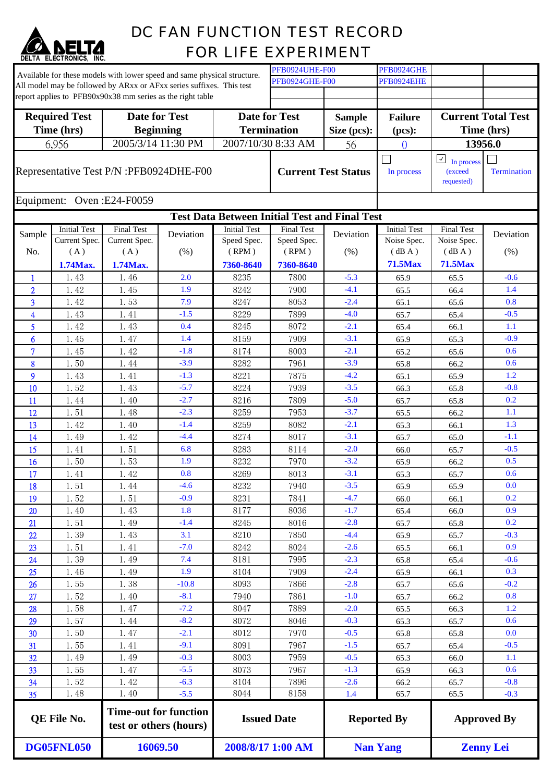

## DC FAN FUNCTION TEST RECORD FOR LIFE EXPERIMENT

| Available for these models with lower speed and same physical structure. |                     |                                                                      |           |                     | <b>PFB0924UHE-F00</b>      |               | PFB0924GHE                    |                                                       |                           |  |
|--------------------------------------------------------------------------|---------------------|----------------------------------------------------------------------|-----------|---------------------|----------------------------|---------------|-------------------------------|-------------------------------------------------------|---------------------------|--|
|                                                                          |                     | All model may be followed by ARxx or AFxx series suffixes. This test |           |                     | <b>PFB0924GHE-F00</b>      |               | PFB0924EHE                    |                                                       |                           |  |
|                                                                          |                     | report applies to PFB90x90x38 mm series as the right table           |           |                     |                            |               |                               |                                                       |                           |  |
|                                                                          |                     |                                                                      |           |                     |                            |               |                               |                                                       |                           |  |
| <b>Required Test</b>                                                     |                     | <b>Date for Test</b>                                                 |           |                     | <b>Date for Test</b>       | <b>Sample</b> | <b>Failure</b>                |                                                       | <b>Current Total Test</b> |  |
| Time (hrs)                                                               |                     | <b>Beginning</b>                                                     |           |                     | <b>Termination</b>         | Size (pcs):   | (pcs):                        |                                                       | Time (hrs)                |  |
|                                                                          | 6,956               | 2005/3/14 11:30 PM                                                   |           |                     | 2007/10/30 8:33 AM         | 56            | $\Omega$                      |                                                       | 13956.0                   |  |
|                                                                          |                     |                                                                      |           |                     |                            |               |                               | $\boxed{\textcolor{blue}{\mathcal{L}}}$<br>In process |                           |  |
| Representative Test P/N : PFB0924DHE-F00                                 |                     |                                                                      |           |                     | <b>Current Test Status</b> | In process    | <i>(exceed)</i><br>requested) | <b>Termination</b>                                    |                           |  |
| Equipment:                                                               |                     | Oven: E24-F0059                                                      |           |                     |                            |               |                               |                                                       |                           |  |
| <b>Test Data Between Initial Test and Final Test</b>                     |                     |                                                                      |           |                     |                            |               |                               |                                                       |                           |  |
|                                                                          | <b>Initial Test</b> | <b>Final Test</b>                                                    |           | <b>Initial Test</b> | <b>Final Test</b>          |               | <b>Initial Test</b>           | <b>Final Test</b>                                     |                           |  |
| Sample                                                                   | Current Spec.       | Current Spec.                                                        | Deviation | Speed Spec.         | Speed Spec.                | Deviation     | Noise Spec.                   | Noise Spec.                                           | Deviation                 |  |
| No.                                                                      | (A)                 | (A)                                                                  | (% )      | (RPM)               | (RPM)                      | (% )          | (dBA)                         | (dB A)                                                | (% )                      |  |
|                                                                          | 1.74Max.            | 1.74Max.                                                             |           | 7360-8640           | 7360-8640                  |               | <b>71.5Max</b>                | <b>71.5Max</b>                                        |                           |  |
| $\mathbf{1}$                                                             | 1.43                | 1.46                                                                 | 2.0       | 8235                | 7800                       | $-5.3$        | 65.9                          | 65.5                                                  | $-0.6$                    |  |
| $\overline{2}$                                                           | 1.42                | 1.45                                                                 | 1.9       | 8242                | 7900                       | $-4.1$        | 65.5                          | 66.4                                                  | 1.4                       |  |
| 3                                                                        | 1.42                | 1.53                                                                 | 7.9       | 8247                | 8053                       | $-2.4$        | 65.1                          | 65.6                                                  | 0.8                       |  |
| 4                                                                        | 1.43                | 1.41                                                                 | $-1.5$    | 8229                | 7899                       | $-4.0$        | 65.7                          | 65.4                                                  | $-0.5$                    |  |
| 5                                                                        | 1.42                | 1.43                                                                 | 0.4       | 8245                | 8072                       | $-2.1$        | 65.4                          | 66.1                                                  | 1.1                       |  |
| 6                                                                        | 1.45                | 1.47                                                                 | 1.4       | 8159                | 7909                       | $-3.1$        | 65.9                          | 65.3                                                  | $-0.9$                    |  |
| $\overline{7}$                                                           | 1.45                | 1.42                                                                 | $-1.8$    | 8174                | 8003                       | $-2.1$        | 65.2                          | 65.6                                                  | 0.6                       |  |
| 8                                                                        | 1.50                | 1.44                                                                 | $-3.9$    | 8282                | 7961                       | $-3.9$        | 65.8                          | 66.2                                                  | 0.6                       |  |
| 9                                                                        | 1.43                | 1.41                                                                 | $-1.3$    | 8221                | 7875                       | $-4.2$        | 65.1                          | 65.9                                                  | 1.2                       |  |
| 10                                                                       | 1.52                | 1.43                                                                 | $-5.7$    | 8224                | 7939                       | $-3.5$        | 66.3                          | 65.8                                                  | $-0.8$                    |  |
| 11                                                                       | 1.44                | 1.40                                                                 | $-2.7$    | 8216                | 7809                       | $-5.0$        | 65.7                          | 65.8                                                  | 0.2                       |  |
| 12                                                                       | 1.51                | 1.48                                                                 | $-2.3$    | 8259                | 7953                       | $-3.7$        | 65.5                          | 66.2                                                  | 1.1                       |  |
| 13                                                                       | 1.42                | 1.40                                                                 | $-1.4$    | 8259                | 8082                       | $-2.1$        | 65.3                          | 66.1                                                  | 1.3                       |  |
| 14                                                                       | 1.49                | 1.42                                                                 | $-4.4$    | 8274                | 8017                       | $-3.1$        | 65.7                          | 65.0                                                  | $-1.1$                    |  |
| 15                                                                       | 1.41                | 1.51                                                                 | 6.8       | 8283                | 8114                       | $-2.0$        | 66.0                          | 65.7                                                  | $-0.5$                    |  |
| 16                                                                       | 1.50                | 1.53                                                                 | 1.9       | 8232                | 7970                       | $-3.2$        | 65.9                          | 66.2                                                  | 0.5                       |  |
| 17                                                                       | 1.41                | 1.42                                                                 | 0.8       | 8269                | 8013                       | $-3.1$        | 65.3                          | 65.7                                                  | 0.6                       |  |
| 18                                                                       | 1.51                | 1.44                                                                 | $-4.6$    | 8232                | 7940                       | $-3.5$        | 65.9                          | 65.9                                                  | 0.0                       |  |
| 19                                                                       | 1.52                | 1.51                                                                 | $-0.9$    | 8231                | 7841                       | $-4.7$        | 66.0                          | 66.1                                                  | 0.2                       |  |
| 20                                                                       | 1.40                | 1.43                                                                 | 1.8       | 8177                | 8036                       | $-1.7$        | 65.4                          | 66.0                                                  | 0.9                       |  |
| 21                                                                       | 1.51                | 1.49                                                                 | $-1.4$    | 8245                | 8016                       | $-2.8$        | 65.7                          | 65.8                                                  | 0.2                       |  |
| 22                                                                       | 1.39                | 1.43                                                                 | 3.1       | 8210                | 7850                       | $-4.4$        | 65.9                          | 65.7                                                  | $-0.3$                    |  |
| 23                                                                       | 1.51                | 1.41                                                                 | $-7.0$    | 8242                | 8024                       | $-2.6$        | 65.5                          | 66.1                                                  | 0.9                       |  |
| 24                                                                       | 1.39                | 1.49                                                                 | 7.4       | 8181                | 7995                       | $-2.3$        | 65.8                          | 65.4                                                  | $-0.6$                    |  |
| 25                                                                       | 1.46                | 1.49                                                                 | 1.9       | 8104                | 7909                       | $-2.4$        | 65.9                          | 66.1                                                  | 0.3                       |  |
| 26                                                                       | 1.55                | 1.38                                                                 | $-10.8$   | 8093                | 7866                       | $-2.8$        | 65.7                          | 65.6                                                  | $-0.2$                    |  |
| 27                                                                       | 1.52                | 1.40                                                                 | $-8.1$    | 7940                | 7861                       | $-1.0$        | 65.7                          | 66.2                                                  | 0.8                       |  |
| 28                                                                       | 1.58                | 1.47                                                                 | $-7.2$    | 8047                | 7889                       | $-2.0$        | 65.5                          | 66.3                                                  | 1.2                       |  |
| 29                                                                       | 1.57                | 1.44                                                                 | $-8.2$    | 8072                | 8046                       | $-0.3$        | 65.3                          | 65.7                                                  | 0.6                       |  |
| 30                                                                       | 1.50                | 1.47                                                                 | $-2.1$    | 8012                | 7970                       | $-0.5$        | 65.8                          | 65.8                                                  | 0.0                       |  |
| 31                                                                       | 1.55                | 1.41                                                                 | $-9.1$    | 8091                | 7967                       | $-1.5$        | 65.7                          | 65.4                                                  | $-0.5$                    |  |
| 32                                                                       | 1.49                | 1.49                                                                 | $-0.3$    | 8003                | 7959                       | $-0.5$        | 65.3                          | 66.0                                                  | 1.1                       |  |
| 33                                                                       | 1.55                | 1.47                                                                 | $-5.5$    | 8073                | 7967                       | $-1.3$        | 65.9                          | 66.3                                                  | 0.6                       |  |
| 34                                                                       | 1.52                | 1.42                                                                 | $-6.3$    | 8104                | 7896                       | $-2.6$        | 66.2                          | 65.7                                                  | $-0.8$                    |  |
| 35                                                                       | 1.48                | 1.40                                                                 | $-5.5$    | 8044                | 8158                       | 1.4           | 65.7                          | 65.5                                                  | $-0.3$                    |  |
|                                                                          |                     |                                                                      |           |                     |                            |               |                               |                                                       |                           |  |
| QE File No.                                                              |                     | <b>Time-out for function</b><br>test or others (hours)               |           |                     | <b>Issued Date</b>         |               | <b>Reported By</b>            |                                                       | <b>Approved By</b>        |  |
| <b>DG05FNL050</b>                                                        |                     | 16069.50                                                             |           |                     | 2008/8/17 1:00 AM          |               | <b>Nan Yang</b>               | <b>Zenny Lei</b>                                      |                           |  |